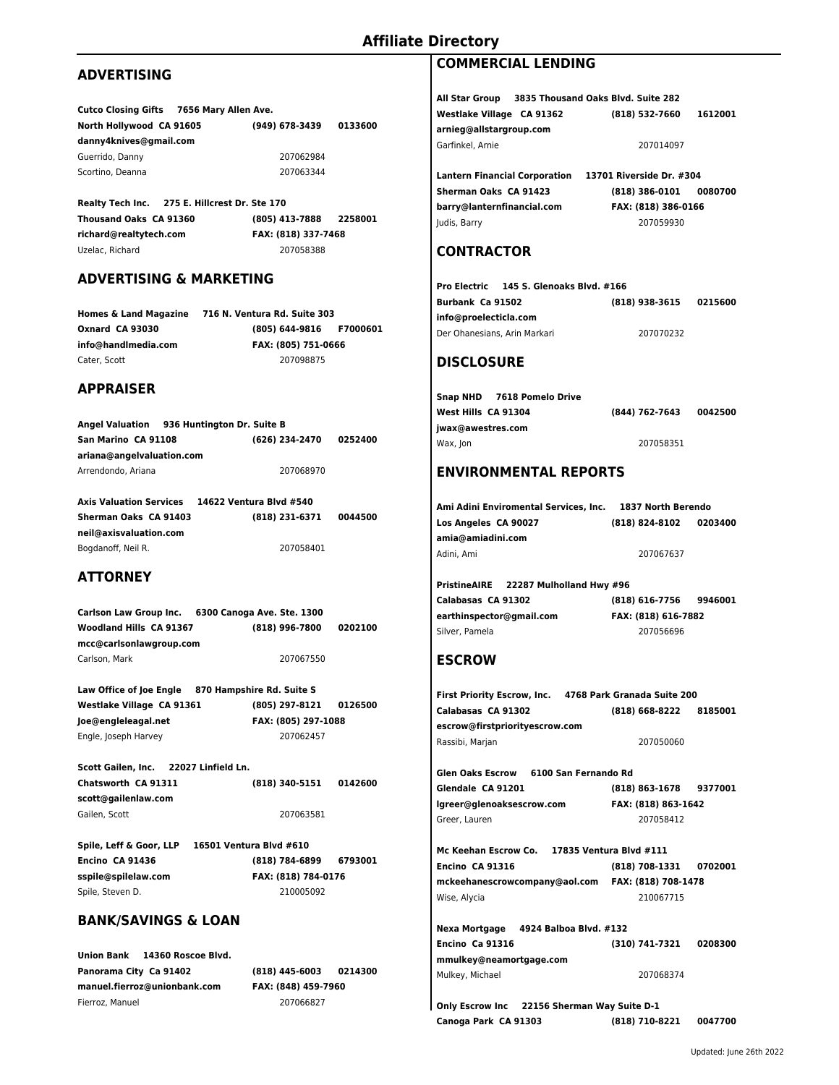## **ADVERTISING**

| Cutco Closing Gifts 7656 Mary Allen Ave. |                |         |
|------------------------------------------|----------------|---------|
| North Hollywood CA 91605                 | (949) 678-3439 | 0133600 |
| danny4knives@gmail.com                   |                |         |
| Guerrido, Danny                          | 207062984      |         |
| Scortino, Deanna                         | 207063344      |         |
|                                          |                |         |

**Realty Tech Inc. 275 E. Hillcrest Dr. Ste 170 Thousand Oaks CA 91360 (805) 413-7888 2258001 richard@realtytech.com FAX: (818) 337-7468**  Uzelac, Richard 207058388

#### **ADVERTISING & MARKETING**

**Homes & Land Magazine 716 N. Ventura Rd. Suite 303 Oxnard CA 93030 (805) 644-9816 F7000601 info@handlmedia.com FAX: (805) 751-0666**  Cater, Scott 207098875

#### **APPRAISER**

|                           | Angel Valuation 936 Huntington Dr. Suite B |                |         |
|---------------------------|--------------------------------------------|----------------|---------|
| San Marino CA 91108       |                                            | (626) 234-2470 | 0252400 |
| ariana@angelvaluation.com |                                            |                |         |
| Arrendondo, Ariana        |                                            | 207068970      |         |
|                           |                                            |                |         |

| <b>Axis Valuation Services</b> | 14622 Ventura Blvd #540 |         |
|--------------------------------|-------------------------|---------|
| Sherman Oaks CA 91403          | (818) 231-6371          | 0044500 |
| neil@axisvaluation.com         |                         |         |
| Bogdanoff, Neil R.             | 207058401               |         |

# **ATTORNEY**

**Carlson Law Group Inc. 6300 Canoga Ave. Ste. 1300 Woodland Hills CA 91367 (818) 996-7800 0202100 mcc@carlsonlawgroup.com** Carlson, Mark 207067550

**Law Office of Joe Engle 870 Hampshire Rd. Suite S Westlake Village CA 91361 (805) 297-8121 0126500 Joe@engleleagal.net FAX: (805) 297-1088**  Engle, Joseph Harvey 207062457

**Scott Gailen, Inc. 22027 Linfield Ln. Chatsworth CA 91311 (818) 340-5151 0142600 scott@gailenlaw.com** Gailen, Scott 207063581

**Spile, Leff & Goor, LLP 16501 Ventura Blvd #610 Encino CA 91436 (818) 784-6899 6793001 sspile@spilelaw.com FAX: (818) 784-0176**  Spile, Steven D. 210005092

#### **BANK/SAVINGS & LOAN**

**Union Bank 14360 Roscoe Blvd. Panorama City Ca 91402 (818) 445-6003 0214300 manuel.fierroz@unionbank.com FAX: (848) 459-7960**  Fierroz, Manuel 207066827

## **COMMERCIAL LENDING**

**All Star Group 3835 Thousand Oaks Blvd. Suite 282 Westlake Village CA 91362 (818) 532-7660 1612001 arnieg@allstargroup.com** Garfinkel, Arnie 207014097 **Lantern Financial Corporation 13701 Riverside Dr. #304 Sherman Oaks CA 91423 (818) 386-0101 0080700 barry@lanternfinancial.com FAX: (818) 386-0166**  Judis, Barry 207059930

### **CONTRACTOR**

| Pro Electric 145 S. Glenoaks Blvd. #166 |                |         |
|-----------------------------------------|----------------|---------|
| Burbank Ca 91502                        | (818) 938-3615 | 0215600 |
| info@proelecticla.com                   |                |         |
| Der Ohanesians, Arin Markari            | 207070232      |         |

### **DISCLOSURE**

| Snap NHD 7618 Pomelo Drive |                |         |
|----------------------------|----------------|---------|
| West Hills  CA 91304       | (844) 762-7643 | 0042500 |
| jwax@awestres.com          |                |         |
| Wax, Jon                   | 207058351      |         |

### **ENVIRONMENTAL REPORTS**

| Ami Adini Enviromental Services. Inc. | 1837 North Berendo |         |
|---------------------------------------|--------------------|---------|
| Los Angeles CA 90027                  | (818) 824-8102     | 0203400 |
| amia@amiadini.com                     |                    |         |
| Adini, Ami                            | 207067637          |         |

**PristineAIRE 22287 Mulholland Hwy #96 Calabasas CA 91302 (818) 616-7756 9946001 earthinspector@gmail.com FAX: (818) 616-7882**  Silver, Pamela 207056696

# **ESCROW**

|                                           | First Priority Escrow, Inc. 4768 Park Granada Suite 200 |
|-------------------------------------------|---------------------------------------------------------|
| Calabasas CA 91302                        | 8185001<br>(818) 668-8222                               |
| escrow@firstpriorityescrow.com            |                                                         |
| Rassibi, Marjan                           | 207050060                                               |
| Glen Oaks Escrow     6100 San Fernando Rd |                                                         |
| Glendale CA 91201                         | (818) 863-1678 9377001                                  |
| lgreer@glenoaksescrow.com                 | FAX: (818) 863-1642                                     |
| Greer, Lauren                             | 207058412                                               |
|                                           |                                                         |

**Mc Keehan Escrow Co. 17835 Ventura Blvd #111 Encino CA 91316 (818) 708-1331 0702001 mckeehanescrowcompany@aol.com FAX: (818) 708-1478**  Wise, Alycia 210067715

**Nexa Mortgage 4924 Balboa Blvd. #132 Encino Ca 91316 (310) 741-7321 0208300 mmulkey@neamortgage.com** Mulkey, Michael 207068374

**Only Escrow Inc 22156 Sherman Way Suite D-1 Canoga Park CA 91303 (818) 710-8221 0047700**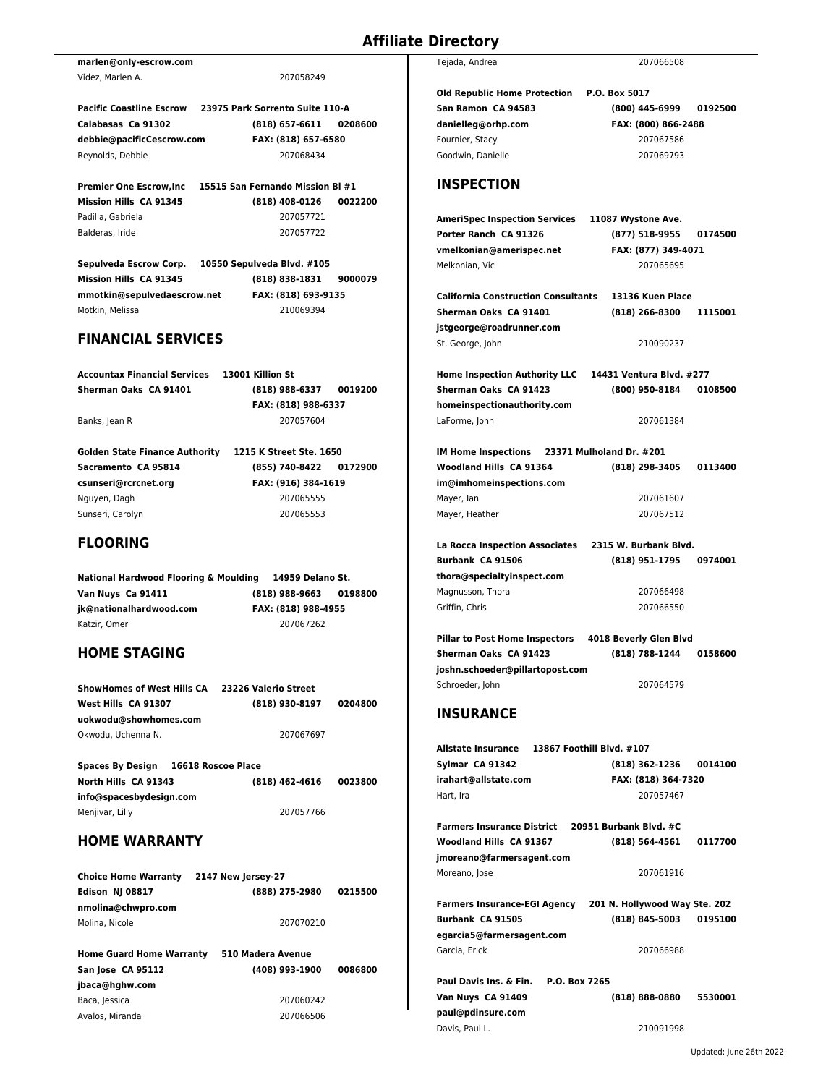|                                                          |                     |         | Old Repu         |
|----------------------------------------------------------|---------------------|---------|------------------|
| Pacific Coastline Escrow 23975 Park Sorrento Suite 110-A |                     |         | <b>San Ram</b>   |
| Calabasas Ca 91302                                       | (818) 657-6611      | 0208600 | danielleg        |
| debbie@pacificCescrow.com                                | FAX: (818) 657-6580 |         | Fournier, !      |
| Reynolds, Debbie                                         | 207068434           |         | Goodwin,         |
| Premier One Escrow, Inc 15515 San Fernando Mission BI #1 |                     |         | <b>INSPE</b>     |
| Mission Hills CA 91345                                   | (818) 408-0126      | 0022200 |                  |
| Padilla, Gabriela                                        | 207057721           |         | <b>AmeriSp</b>   |
| Balderas, Iride                                          | 207057722           |         | <b>Porter Ra</b> |
|                                                          |                     |         | vmelkoni         |
| Sepulveda Escrow Corp. 10550 Sepulveda Blvd. #105        |                     |         | Melkonian        |
| Mission Hills CA 91345                                   | (818) 838-1831      | 9000079 |                  |
| mmotkin@sepulvedaescrow.net                              | FAX: (818) 693-9135 |         | California       |
| Motkin, Melissa                                          | 210069394           |         | <b>Sherman</b>   |
|                                                          |                     |         | jstgeorge        |
| <b>FINANCIAL SERVICES</b>                                |                     |         | St. George       |
|                                                          |                     |         |                  |

| Accountax Financial Services | 13001 Killion St       |  |
|------------------------------|------------------------|--|
| Sherman Oaks CA 91401        | (818) 988-6337 0019200 |  |
|                              | FAX: (818) 988-6337    |  |
| Banks, Jean R                | 207057604              |  |

**Golden State Finance Authority 1215 K Street Ste. 1650 Sacramento CA 95814 (855) 740-8422 0172900 csunseri@rcrcnet.org FAX: (916) 384-1619**  Nguyen, Dagh 207065555 Sunseri, Carolyn 207065553

**marlen@only-escrow.com**

Videz, Marlen A. 207058249

## **FLOORING**

**National Hardwood Flooring & Moulding 14959 Delano St. Van Nuys Ca 91411 (818) 988-9663 0198800 jk@nationalhardwood.com FAX: (818) 988-4955**  Katzir, Omer 207067262

# **HOME STAGING**

| <b>ShowHomes of West Hills CA</b> | 23226 Valerio Street |         |
|-----------------------------------|----------------------|---------|
| West Hills CA 91307               | (818) 930-8197       | 0204800 |
| uokwodu@showhomes.com             |                      |         |
| Okwodu. Uchenna N.                | 207067697            |         |

| <b>Spaces By Design</b> | 16618 Roscoe Place |         |
|-------------------------|--------------------|---------|
| North Hills CA 91343    | $(818)$ 462-4616   | 0023800 |
| info@spacesbydesign.com |                    |         |
| Menjivar, Lilly         | 207057766          |         |

## **HOME WARRANTY**

| <b>Choice Home Warranty</b>     | 2147 New Jersey-27 |         |
|---------------------------------|--------------------|---------|
| Edison NJ 08817                 | (888) 275-2980     | 0215500 |
| nmolina@chwpro.com              |                    |         |
| Molina. Nicole                  | 207070210          |         |
|                                 |                    |         |
| <b>Home Guard Home Warranty</b> | 510 Madera Avenue  |         |

| (408) 993-1900 | 0086800 |
|----------------|---------|
|                |         |
| 207060242      |         |
| 207066506      |         |
|                |         |

| Tejada, Andrea | 207066508 |
|----------------|-----------|
|                |           |

**Old Republic Home Protection P.O. Box 5017**  Stacy 207067586

**San Ramon CA 94583 (800) 445-6999 0192500 danielleg@orhp.com FAX: (800) 866-2488**  Danielle 207069793

# **ICTION**

| AmeriSpec Inspection Services                | 11087 Wystone Ave.        |
|----------------------------------------------|---------------------------|
| Porter Ranch CA 91326                        | (877) 518-9955<br>0174500 |
| vmelkonian@amerispec.net                     | FAX: (877) 349-4071       |
| Melkonian. Vic                               | 207065695                 |
| <b>California Construction Consultants</b>   | 13136 Kuen Place          |
| Sherman Oaks CA 91401                        | (818) 266-8300<br>1115001 |
| jstgeorge@roadrunner.com                     |                           |
| St. George, John                             | 210090237                 |
| <b>Home Inspection Authority LLC</b>         | 14431 Ventura Blvd. #277  |
| Sherman Oaks CA 91423                        | (800) 950-8184<br>0108500 |
| homeinspectionauthority.com                  |                           |
| LaForme, John                                | 207061384                 |
| IM Home Inspections 23371 Mulholand Dr. #201 |                           |
| Woodland Hills CA 91364                      | (818) 298-3405<br>0113400 |
| im@imhomeinspections.com                     |                           |
| Mayer, lan                                   | 207061607                 |
| Mayer, Heather                               | 207067512                 |
| La Rocca Inspection Associates               | 2315 W. Burbank Blvd.     |
| Burbank CA 91506                             | (818) 951-1795<br>0974001 |
| thora@specialtyinspect.com                   |                           |
| Magnusson, Thora                             | 207066498                 |
| Griffin, Chris                               | 207066550                 |
| <b>Pillar to Post Home Inspectors</b>        | 4018 Beverly Glen Blvd    |
| Sherman Oaks CA 91423                        | (818) 788-1244<br>0158600 |
| joshn.schoeder@pillartopost.com              |                           |
| Schroeder, John                              | 207064579                 |
| <b>INSURANCE</b>                             |                           |
| Allstate Insurance                           | 13867 Foothill Blvd. #107 |
| Sylmar CA 91342                              | 0014100<br>(818) 362-1236 |
| $1 - 1$                                      | W. 1010) 304              |

| Syimar CA 91342                                   | 10101302-1230 UU141UU         |         |
|---------------------------------------------------|-------------------------------|---------|
| irahart@allstate.com                              | FAX: (818) 364-7320           |         |
| Hart, Ira                                         | 207057467                     |         |
|                                                   |                               |         |
| Farmers Insurance District 20951 Burbank Blvd. #C |                               |         |
| Woodland Hills CA 91367                           | (818) 564-4561                | 0117700 |
| jmoreano@farmersagent.com                         |                               |         |
| Moreano, Jose                                     | 207061916                     |         |
|                                                   |                               |         |
| <b>Farmers Insurance-EGI Agency</b>               | 201 N. Hollywood Way Ste. 202 |         |
| Burbank CA 91505                                  | (818) 845-5003                | 0195100 |
| egarcia5@farmersagent.com                         |                               |         |
| Garcia, Erick                                     | 207066988                     |         |
|                                                   |                               |         |
| Paul Davis Ins. & Fin. P.O. Box 7265              |                               |         |
| Van Nuys CA 91409                                 | (818) 888-0880                | 5530001 |
| paul@pdinsure.com                                 |                               |         |
| Davis, Paul L.                                    | 210091998                     |         |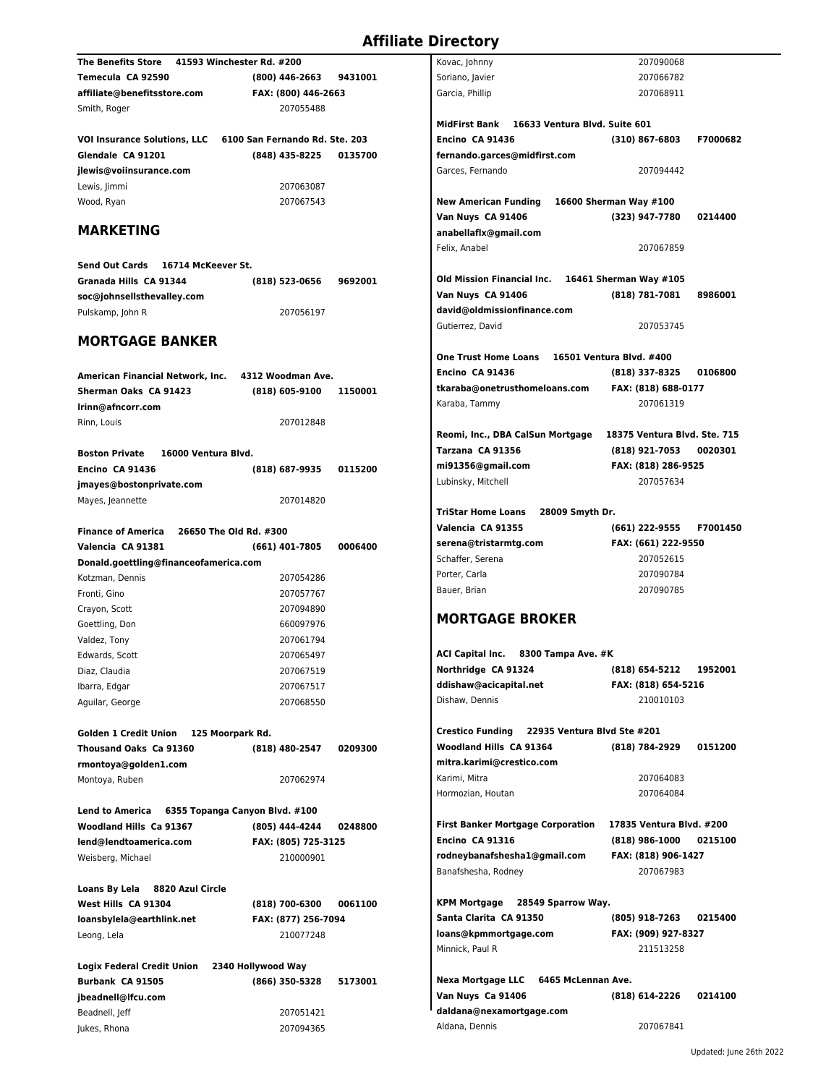| <b>The Benefits Store</b>                    | 41593 Winchester Rd. #200      |         | Kovac, Johnny                                          | 207090068                    |
|----------------------------------------------|--------------------------------|---------|--------------------------------------------------------|------------------------------|
| Temecula CA 92590                            | $(800)$ 446-2663               | 9431001 | Soriano, Javier                                        | 207066782                    |
| affiliate@benefitsstore.com                  | FAX: (800) 446-2663            |         | Garcia, Phillip                                        | 207068911                    |
| Smith, Roger                                 | 207055488                      |         |                                                        |                              |
|                                              |                                |         | MidFirst Bank 16633 Ventura Blvd. Suite 601            |                              |
| <b>VOI Insurance Solutions, LLC</b>          | 6100 San Fernando Rd. Ste. 203 |         | Encino CA 91436                                        | F7000682<br>(310) 867-6803   |
| Glendale CA 91201                            | (848) 435-8225                 | 0135700 | fernando.garces@midfirst.com                           |                              |
| jlewis@voiinsurance.com                      |                                |         | Garces, Fernando                                       | 207094442                    |
| Lewis, Jimmi                                 | 207063087                      |         |                                                        |                              |
| Wood, Ryan                                   | 207067543                      |         | <b>New American Funding</b>                            | 16600 Sherman Way #100       |
|                                              |                                |         | Van Nuys CA 91406                                      | (323) 947-7780<br>0214400    |
| <b>MARKETING</b>                             |                                |         | anabellaflx@gmail.com                                  |                              |
|                                              |                                |         | Felix, Anabel                                          | 207067859                    |
| Send Out Cards 16714 McKeever St.            |                                |         |                                                        |                              |
|                                              |                                |         | Old Mission Financial Inc.                             | 16461 Sherman Way #105       |
| Granada Hills CA 91344                       | (818) 523-0656                 | 9692001 |                                                        | (818) 781-7081<br>8986001    |
| soc@johnsellsthevalley.com                   |                                |         | Van Nuys CA 91406                                      |                              |
| Pulskamp, John R                             | 207056197                      |         | david@oldmissionfinance.com<br>Gutierrez. David        | 207053745                    |
| <b>MORTGAGE BANKER</b>                       |                                |         |                                                        |                              |
|                                              |                                |         |                                                        |                              |
|                                              |                                |         | <b>One Trust Home Loans</b>                            | 16501 Ventura Blvd. #400     |
| American Financial Network, Inc.             | 4312 Woodman Ave.              |         | Encino CA 91436                                        | (818) 337-8325<br>0106800    |
| Sherman Oaks CA 91423                        | (818) 605-9100                 | 1150001 | tkaraba@onetrusthomeloans.com                          | FAX: (818) 688-0177          |
| Irinn@afncorr.com                            |                                |         | Karaba, Tammy                                          | 207061319                    |
| Rinn, Louis                                  | 207012848                      |         |                                                        |                              |
|                                              |                                |         | Reomi, Inc., DBA CalSun Mortgage                       | 18375 Ventura Blvd. Ste. 715 |
| <b>Boston Private</b><br>16000 Ventura Blvd. |                                |         | Tarzana CA 91356                                       | (818) 921-7053<br>0020301    |
| Encino CA 91436                              | (818) 687-9935                 | 0115200 | mi91356@gmail.com                                      | FAX: (818) 286-9525          |
| jmayes@bostonprivate.com                     |                                |         | Lubinsky, Mitchell                                     | 207057634                    |
| Mayes, Jeannette                             | 207014820                      |         |                                                        |                              |
|                                              |                                |         | <b>TriStar Home Loans</b><br>28009 Smyth Dr.           |                              |
| <b>Finance of America</b>                    | 26650 The Old Rd. #300         |         | Valencia CA 91355                                      | F7001450<br>(661) 222-9555   |
| Valencia CA 91381                            | (661) 401-7805                 | 0006400 | serena@tristarmtg.com                                  | FAX: (661) 222-9550          |
| Donald.goettling@financeofamerica.com        |                                |         | Schaffer, Serena                                       | 207052615                    |
| Kotzman, Dennis                              | 207054286                      |         | Porter, Carla                                          | 207090784                    |
| Fronti, Gino                                 | 207057767                      |         | Bauer, Brian                                           | 207090785                    |
| Crayon, Scott                                | 207094890                      |         |                                                        |                              |
| Goettling, Don                               | 660097976                      |         | <b>MORTGAGE BROKER</b>                                 |                              |
| Valdez, Tony                                 | 207061794                      |         |                                                        |                              |
| Edwards, Scott                               | 207065497                      |         | <b>ACI Capital Inc.</b><br>8300 Tampa Ave. #K          |                              |
| Diaz, Claudia                                | 207067519                      |         | Northridge CA 91324                                    | (818) 654-5212<br>1952001    |
|                                              |                                |         | ddishaw@acicapital.net                                 | FAX: (818) 654-5216          |
| Ibarra, Edgar                                | 207067517                      |         | Dishaw, Dennis                                         | 210010103                    |
| Aguilar, George                              | 207068550                      |         |                                                        |                              |
|                                              |                                |         | <b>Crestico Funding</b><br>22935 Ventura Blvd Ste #201 |                              |
| Golden 1 Credit Union                        | 125 Moorpark Rd.               |         |                                                        |                              |
| Thousand Oaks Ca 91360                       | (818) 480-2547                 | 0209300 | Woodland Hills CA 91364                                | (818) 784-2929<br>0151200    |
| rmontoya@golden1.com                         |                                |         | mitra.karimi@crestico.com                              |                              |
| Montoya, Ruben                               | 207062974                      |         | Karimi, Mitra                                          | 207064083                    |
|                                              |                                |         | Hormozian, Houtan                                      | 207064084                    |
| <b>Lend to America</b>                       | 6355 Topanga Canyon Blvd. #100 |         |                                                        |                              |
| Woodland Hills Ca 91367                      | (805) 444-4244                 | 0248800 | <b>First Banker Mortgage Corporation</b>               | 17835 Ventura Blvd. #200     |
| lend@lendtoamerica.com                       | FAX: (805) 725-3125            |         | <b>Encino CA 91316</b>                                 | $(818)$ 986-1000<br>0215100  |
| Weisberg, Michael                            | 210000901                      |         | rodneybanafshesha1@gmail.com                           | FAX: (818) 906-1427          |
|                                              |                                |         | Banafshesha, Rodney                                    | 207067983                    |
| Loans By Lela 8820 Azul Circle               |                                |         |                                                        |                              |
| West Hills CA 91304                          | (818) 700-6300                 | 0061100 | KPM Mortgage 28549 Sparrow Way.                        |                              |
| loansbylela@earthlink.net                    | FAX: (877) 256-7094            |         | Santa Clarita CA 91350                                 | (805) 918-7263<br>0215400    |
| Leong, Lela                                  | 210077248                      |         | loans@kpmmortgage.com                                  | FAX: (909) 927-8327          |
|                                              |                                |         | Minnick, Paul R                                        | 211513258                    |
| <b>Logix Federal Credit Union</b>            | 2340 Hollywood Way             |         |                                                        |                              |
| Burbank CA 91505                             | (866) 350-5328                 | 5173001 | <b>Nexa Mortgage LLC</b><br>6465 McLennan Ave.         |                              |
| jbeadnell@lfcu.com                           |                                |         | Van Nuys Ca 91406                                      | (818) 614-2226<br>0214100    |
| Beadnell, Jeff                               | 207051421                      |         | daldana@nexamortgage.com                               |                              |
| Jukes, Rhona                                 | 207094365                      |         | Aldana, Dennis                                         | 207067841                    |
|                                              |                                |         |                                                        |                              |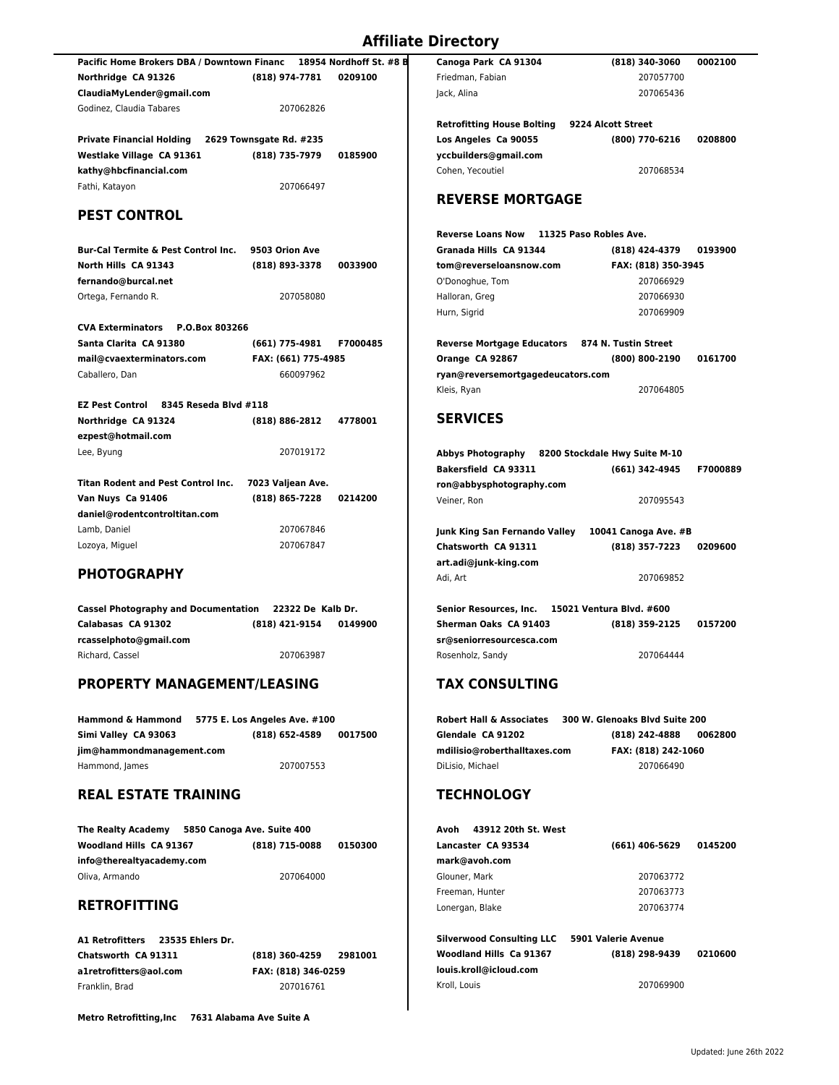| Pacific Home Brokers DBA / Downtown Financ |                |           | 18954 Nordhoff St. #8 B |  |
|--------------------------------------------|----------------|-----------|-------------------------|--|
| Northridge CA 91326                        | (818) 974-7781 |           | 0209100                 |  |
| ClaudiaMvLender@gmail.com                  |                |           |                         |  |
| Godinez. Claudia Tabares                   |                | 207062826 |                         |  |

**Private Financial Holding 2629 Townsgate Rd. #235 Westlake Village CA 91361 (818) 735-7979 0185900 kathy@hbcfinancial.com** Fathi, Katayon 207066497

## **PEST CONTROL**

**Bur-Cal Termite & Pest Control Inc. 9503 Orion Ave North Hills CA 91343 (818) 893-3378 0033900 fernando@burcal.net** Ortega, Fernando R. 207058080

| CVA Exterminators P.O.Box 803266 |                     |                 |
|----------------------------------|---------------------|-----------------|
| Santa Clarita  CA 91380          | (661) 775-4981      | <b>F7000485</b> |
| mail@cvaexterminators.com        | FAX: (661) 775-4985 |                 |
| Caballero. Dan                   | 660097962           |                 |

| EZ Pest Control     | 8345 Reseda Blvd #118  |  |
|---------------------|------------------------|--|
| Northridge CA 91324 | (818) 886-2812 4778001 |  |
| ezpest@hotmail.com  |                        |  |
| Lee, Byung          | 207019172              |  |
|                     |                        |  |

| Titan Rodent and Pest Control Inc. | 7023 Valjean Ave. |         |
|------------------------------------|-------------------|---------|
| Van Nuys  Ca 91406                 | (818) 865-7228    | 0214200 |
| daniel@rodentcontroltitan.com      |                   |         |
| Lamb. Daniel                       | 207067846         |         |
| Lozoya, Miguel                     | 207067847         |         |

## **PHOTOGRAPHY**

| <b>Cassel Photography and Documentation</b> | 22322 De Kalb Dr. |         |
|---------------------------------------------|-------------------|---------|
| Calabasas CA 91302                          | (818) 421-9154    | 0149900 |
| rcasselphoto@gmail.com                      |                   |         |
| Richard, Cassel                             | 207063987         |         |

## **PROPERTY MANAGEMENT/LEASING**

| <b>Hammond &amp; Hammond</b> | 5775 E. Los Angeles Ave. #100 |         |  |
|------------------------------|-------------------------------|---------|--|
| Simi Valley CA 93063         | (818) 652-4589                | 0017500 |  |
| jim@hammondmanagement.com    |                               |         |  |
| Hammond, James               | 207007553                     |         |  |

# **REAL ESTATE TRAINING**

| <b>The Realty Academy</b> | 5850 Canoga Ave. Suite 400 |         |
|---------------------------|----------------------------|---------|
| Woodland Hills CA 91367   | (818) 715-0088             | 0150300 |
| info@therealtyacademy.com |                            |         |
| Oliva, Armando            | 207064000                  |         |

## **RETROFITTING**

**A1 Retrofitters 23535 Ehlers Dr. Chatsworth CA 91311 (818) 360-4259 2981001 a1retrofitters@aol.com FAX: (818) 346-0259**  Franklin, Brad 207016761

**Metro Retrofitting,Inc 7631 Alabama Ave Suite A**

| Canoga Park CA 91304              | (818) 340-3060     | 0002100 |  |
|-----------------------------------|--------------------|---------|--|
| Friedman, Fabian                  | 207057700          |         |  |
| Jack, Alina                       | 207065436          |         |  |
| <b>Retrofitting House Bolting</b> | 9224 Alcott Street |         |  |
| Los Angeles Ca 90055              | (800) 770-6216     | 0208800 |  |
| yccbuilders@gmail.com             |                    |         |  |
| Cohen. Yecoutiel                  | 207068534          |         |  |
| <b>REVERSE MORTGAGE</b>           |                    |         |  |

| Reverse Loans Now 11325 Paso Robles Ave.        |  |                     |         |
|-------------------------------------------------|--|---------------------|---------|
| Granada Hills CA 91344                          |  | (818) 424-4379      | 0193900 |
| tom@reverseloansnow.com                         |  | FAX: (818) 350-3945 |         |
| O'Donoghue, Tom                                 |  | 207066929           |         |
| Halloran, Greg                                  |  | 207066930           |         |
| Hurn, Sigrid                                    |  | 207069909           |         |
| Reverse Mortgage Educators 874 N. Tustin Street |  |                     |         |
| Orange CA 92867                                 |  | (800) 800-2190      | 0161700 |
| ryan@reversemortgagedeucators.com               |  |                     |         |
| Kleis, Ryan                                     |  | 207064805           |         |

#### **SERVICES**

| Abbys Photography<br>8200 Stockdale Hwy Suite M-10 |                          |          |
|----------------------------------------------------|--------------------------|----------|
| <b>Bakersfield CA 93311</b>                        | (661) 342-4945           | F7000889 |
| ron@abbysphotography.com                           |                          |          |
| Veiner. Ron                                        | 207095543                |          |
|                                                    |                          |          |
| Junk King San Fernando Valley                      | 10041 Canoga Ave. #B     |          |
| Chatsworth CA 91311                                | (818) 357-7223           | 0209600  |
| art.adi@junk-king.com                              |                          |          |
| Adi. Art                                           | 207069852                |          |
|                                                    |                          |          |
| Senior Resources. Inc.                             | 15021 Ventura Blvd. #600 |          |
| Sherman Oaks CA 91403                              | (818) 359-2125           | 0157200  |
| sr@seniorresourcesca.com                           |                          |          |

## **TAX CONSULTING**

| Robert Hall & Associates     | 300 W. Glenoaks Blyd Suite 200 |
|------------------------------|--------------------------------|
| Glendale CA 91202            | (818) 242-4888<br>0062800      |
| mdilisio@roberthalltaxes.com | FAX: (818) 242-1060            |
| DiLisio. Michael             | 207066490                      |

Rosenholz, Sandy 207064444

## **TECHNOLOGY**

| Avoh 43912 20th St. West                      |                           |
|-----------------------------------------------|---------------------------|
| Lancaster CA 93534                            | 0145200<br>(661) 406-5629 |
| mark@avoh.com                                 |                           |
| Glouner, Mark                                 | 207063772                 |
| Freeman, Hunter                               | 207063773                 |
| Lonergan, Blake                               | 207063774                 |
|                                               |                           |
| Silverwood Consulting LLC 5901 Valerie Avenue |                           |

| Silverwood Consulting LLC | <b>SYLL VAIGHT AVEILLE</b> |         |
|---------------------------|----------------------------|---------|
| Woodland Hills Ca 91367   | (818) 298-9439             | 0210600 |
| louis.kroll@icloud.com    |                            |         |
| Kroll, Louis              | 207069900                  |         |